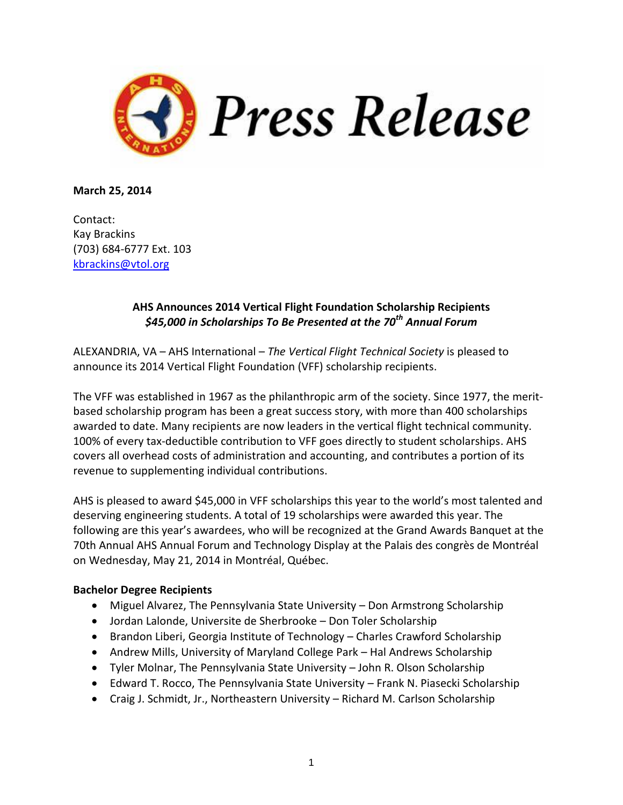

**March 25, 2014**

Contact: Kay Brackins (703) 684-6777 Ext. 103 [kbrackins@vtol.org](mailto:kbrackins@vtol.org)

## **AHS Announces 2014 Vertical Flight Foundation Scholarship Recipients** *\$45,000 in Scholarships To Be Presented at the 70th Annual Forum*

ALEXANDRIA, VA – AHS International – *The Vertical Flight Technical Society* is pleased to announce its 2014 Vertical Flight Foundation (VFF) scholarship recipients.

The VFF was established in 1967 as the philanthropic arm of the society. Since 1977, the meritbased scholarship program has been a great success story, with more than 400 scholarships awarded to date. Many recipients are now leaders in the vertical flight technical community. 100% of every tax-deductible contribution to VFF goes directly to student scholarships. AHS covers all overhead costs of administration and accounting, and contributes a portion of its revenue to supplementing individual contributions.

AHS is pleased to award \$45,000 in VFF scholarships this year to the world's most talented and deserving engineering students. A total of 19 scholarships were awarded this year. The following are this year's awardees, who will be recognized at the Grand Awards Banquet at the 70th Annual AHS Annual Forum and Technology Display at the Palais des congrès de Montréal on Wednesday, May 21, 2014 in Montréal, Québec.

## **Bachelor Degree Recipients**

- Miguel Alvarez, The Pennsylvania State University Don Armstrong Scholarship
- Jordan Lalonde, Universite de Sherbrooke Don Toler Scholarship
- Brandon Liberi, Georgia Institute of Technology Charles Crawford Scholarship
- Andrew Mills, University of Maryland College Park Hal Andrews Scholarship
- Tyler Molnar, The Pennsylvania State University John R. Olson Scholarship
- Edward T. Rocco, The Pennsylvania State University Frank N. Piasecki Scholarship
- Craig J. Schmidt, Jr., Northeastern University Richard M. Carlson Scholarship